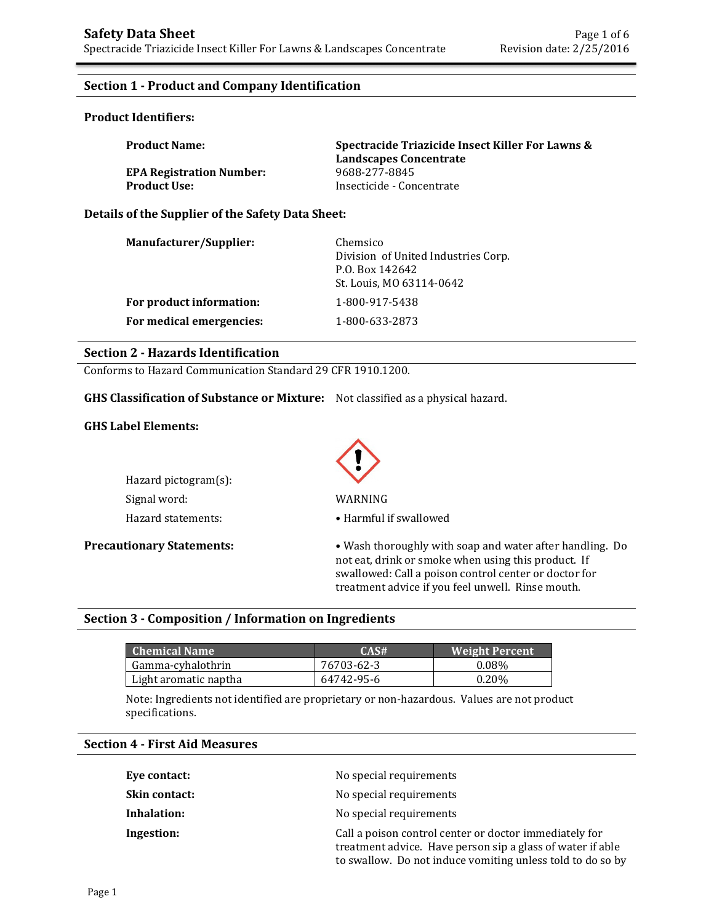## **Section 1 - Product and Company Identification**

## **Product Identifiers:**

| <b>Product Name:</b>            | Spectracide Triazicide Insect Killer For Lawns &<br>Landscapes Concentrate |
|---------------------------------|----------------------------------------------------------------------------|
| <b>EPA Registration Number:</b> | 9688-277-8845                                                              |
| <b>Product Use:</b>             | Insecticide - Concentrate                                                  |

#### **Details of the Supplier of the Safety Data Sheet:**

| Manufacturer/Supplier:   | Chemsico<br>Division of United Industries Corp.<br>P.O. Box 142642<br>St. Louis, MO 63114-0642 |
|--------------------------|------------------------------------------------------------------------------------------------|
| For product information: | 1-800-917-5438                                                                                 |
| For medical emergencies: | 1-800-633-2873                                                                                 |

#### **Section 2 - Hazards Identification**

Conforms to Hazard Communication Standard 29 CFR 1910.1200.

**GHS Classification of Substance or Mixture:** Not classified as a physical hazard.

### **GHS Label Elements:**

| Hazard pictogram(s): |                     |
|----------------------|---------------------|
| Signal word:         | WARNING             |
| Hazard statements:   | $\bullet$ Harmful i |



Hazard statements: • • Harmful if swallowed

**Precautionary Statements:** • Wash thoroughly with soap and water after handling. Do not eat, drink or smoke when using this product. If swallowed: Call a poison control center or doctor for treatment advice if you feel unwell. Rinse mouth.

#### **Section 3 - Composition / Information on Ingredients**

| Chemical Name         | CAS#       | <b>Weight Percent</b> |
|-----------------------|------------|-----------------------|
| Gamma-cyhalothrin     | 76703-62-3 | $0.08\%$              |
| Light aromatic naptha | 64742-95-6 | $0.20\%$              |

Note: Ingredients not identified are proprietary or non-hazardous. Values are not product specifications.

## **Section 4 - First Aid Measures**

| Eye contact:         | No special requirements                                                                                                                                                            |
|----------------------|------------------------------------------------------------------------------------------------------------------------------------------------------------------------------------|
| <b>Skin contact:</b> | No special requirements                                                                                                                                                            |
| Inhalation:          | No special requirements                                                                                                                                                            |
| Ingestion:           | Call a poison control center or doctor immediately for<br>treatment advice. Have person sip a glass of water if able<br>to swallow. Do not induce vomiting unless told to do so by |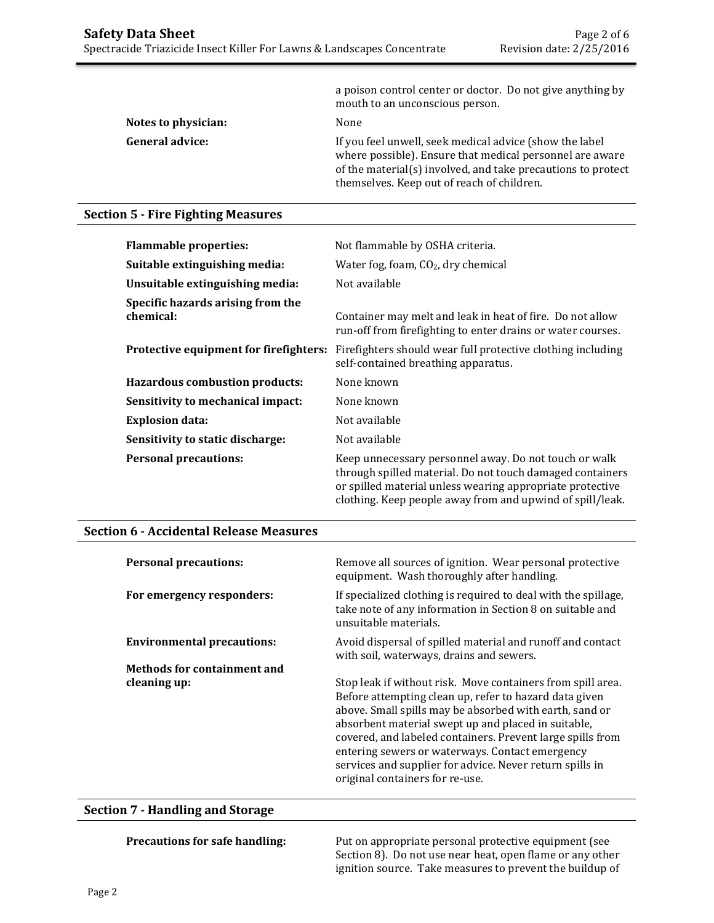|                        | a poison control center or doctor. Do not give anything by<br>mouth to an unconscious person.                                                                                                                                     |
|------------------------|-----------------------------------------------------------------------------------------------------------------------------------------------------------------------------------------------------------------------------------|
| Notes to physician:    | None                                                                                                                                                                                                                              |
| <b>General advice:</b> | If you feel unwell, seek medical advice (show the label<br>where possible). Ensure that medical personnel are aware<br>of the material(s) involved, and take precautions to protect<br>themselves. Keep out of reach of children. |

## **Section 5 - Fire Fighting Measures**

| <b>Flammable properties:</b>                   | Not flammable by OSHA criteria.                                                                                                                                                                                                              |
|------------------------------------------------|----------------------------------------------------------------------------------------------------------------------------------------------------------------------------------------------------------------------------------------------|
| Suitable extinguishing media:                  | Water fog, foam, $CO2$ , dry chemical                                                                                                                                                                                                        |
| Unsuitable extinguishing media:                | Not available                                                                                                                                                                                                                                |
| Specific hazards arising from the<br>chemical: | Container may melt and leak in heat of fire. Do not allow<br>run-off from firefighting to enter drains or water courses.                                                                                                                     |
| Protective equipment for firefighters:         | Firefighters should wear full protective clothing including<br>self-contained breathing apparatus.                                                                                                                                           |
| <b>Hazardous combustion products:</b>          | None known                                                                                                                                                                                                                                   |
| Sensitivity to mechanical impact:              | None known                                                                                                                                                                                                                                   |
| <b>Explosion data:</b>                         | Not available                                                                                                                                                                                                                                |
| Sensitivity to static discharge:               | Not available                                                                                                                                                                                                                                |
| <b>Personal precautions:</b>                   | Keep unnecessary personnel away. Do not touch or walk<br>through spilled material. Do not touch damaged containers<br>or spilled material unless wearing appropriate protective<br>clothing. Keep people away from and upwind of spill/leak. |

## **Section 6 - Accidental Release Measures**

| <b>Personal precautions:</b>       | Remove all sources of ignition. Wear personal protective<br>equipment. Wash thoroughly after handling.                                                                                                                                                                                                                                                                                                                                                  |
|------------------------------------|---------------------------------------------------------------------------------------------------------------------------------------------------------------------------------------------------------------------------------------------------------------------------------------------------------------------------------------------------------------------------------------------------------------------------------------------------------|
| For emergency responders:          | If specialized clothing is required to deal with the spillage,<br>take note of any information in Section 8 on suitable and<br>unsuitable materials.                                                                                                                                                                                                                                                                                                    |
| <b>Environmental precautions:</b>  | Avoid dispersal of spilled material and runoff and contact<br>with soil, waterways, drains and sewers.                                                                                                                                                                                                                                                                                                                                                  |
| <b>Methods for containment and</b> |                                                                                                                                                                                                                                                                                                                                                                                                                                                         |
| cleaning up:                       | Stop leak if without risk. Move containers from spill area.<br>Before attempting clean up, refer to hazard data given<br>above. Small spills may be absorbed with earth, sand or<br>absorbent material swept up and placed in suitable,<br>covered, and labeled containers. Prevent large spills from<br>entering sewers or waterways. Contact emergency<br>services and supplier for advice. Never return spills in<br>original containers for re-use. |

## **Section 7 - Handling and Storage**

**Precautions for safe handling:** Put on appropriate personal protective equipment (see Section 8). Do not use near heat, open flame or any other ignition source. Take measures to prevent the buildup of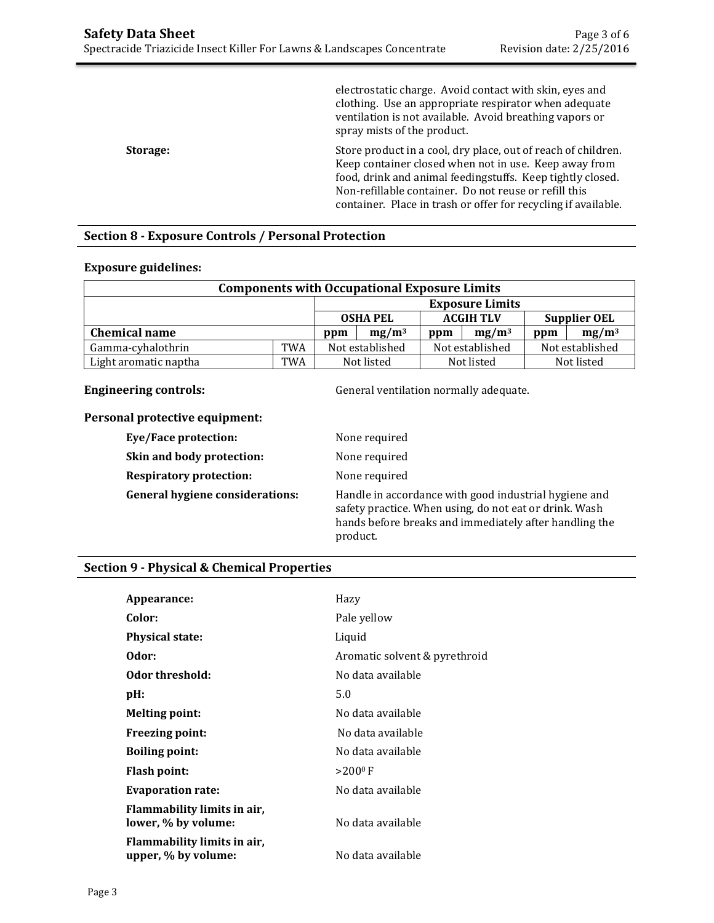|          | electrostatic charge. Avoid contact with skin, eyes and<br>clothing. Use an appropriate respirator when adequate<br>ventilation is not available. Avoid breathing vapors or<br>spray mists of the product.                                                                                                      |
|----------|-----------------------------------------------------------------------------------------------------------------------------------------------------------------------------------------------------------------------------------------------------------------------------------------------------------------|
| Storage: | Store product in a cool, dry place, out of reach of children.<br>Keep container closed when not in use. Keep away from<br>food, drink and animal feedingstuffs. Keep tightly closed.<br>Non-refillable container. Do not reuse or refill this<br>container. Place in trash or offer for recycling if available. |

## **Section 8 - Exposure Controls / Personal Protection**

### **Exposure guidelines:**

| <b>Components with Occupational Exposure Limits</b> |            |                        |  |                  |          |                     |                 |
|-----------------------------------------------------|------------|------------------------|--|------------------|----------|---------------------|-----------------|
|                                                     |            | <b>Exposure Limits</b> |  |                  |          |                     |                 |
|                                                     |            | <b>OSHA PEL</b>        |  | <b>ACGIH TLV</b> |          | <b>Supplier OEL</b> |                 |
| <b>Chemical name</b>                                |            | $mg/m^3$<br>ppm        |  | ppm              | $mg/m^3$ | ppm                 | $mg/m^3$        |
| Gamma-cyhalothrin                                   | <b>TWA</b> | Not established        |  | Not established  |          |                     | Not established |
| Light aromatic naptha                               | TWA        | Not listed             |  | Not listed       |          |                     | Not listed      |

**Engineering controls: Controls: General ventilation normally adequate.** 

## **Personal protective equipment:**

| Eye/Face protection:                   | None required                                                                                                                                                                         |
|----------------------------------------|---------------------------------------------------------------------------------------------------------------------------------------------------------------------------------------|
| Skin and body protection:              | None required                                                                                                                                                                         |
| <b>Respiratory protection:</b>         | None required                                                                                                                                                                         |
| <b>General hygiene considerations:</b> | Handle in accordance with good industrial hygiene and<br>safety practice. When using, do not eat or drink. Wash<br>hands before breaks and immediately after handling the<br>product. |

## **Section 9 - Physical & Chemical Properties**

| Appearance:                                        | Hazy                          |
|----------------------------------------------------|-------------------------------|
| Color:                                             | Pale yellow                   |
| <b>Physical state:</b>                             | Liquid                        |
| Odor:                                              | Aromatic solvent & pyrethroid |
| Odor threshold:                                    | No data available             |
| pH:                                                | 5.0                           |
| <b>Melting point:</b>                              | No data available             |
| <b>Freezing point:</b>                             | No data available             |
| <b>Boiling point:</b>                              | No data available             |
| <b>Flash point:</b>                                | $>200^{\circ}$ F              |
| <b>Evaporation rate:</b>                           | No data available             |
| Flammability limits in air,<br>lower, % by volume: | No data available             |
| Flammability limits in air,<br>upper, % by volume: | No data available             |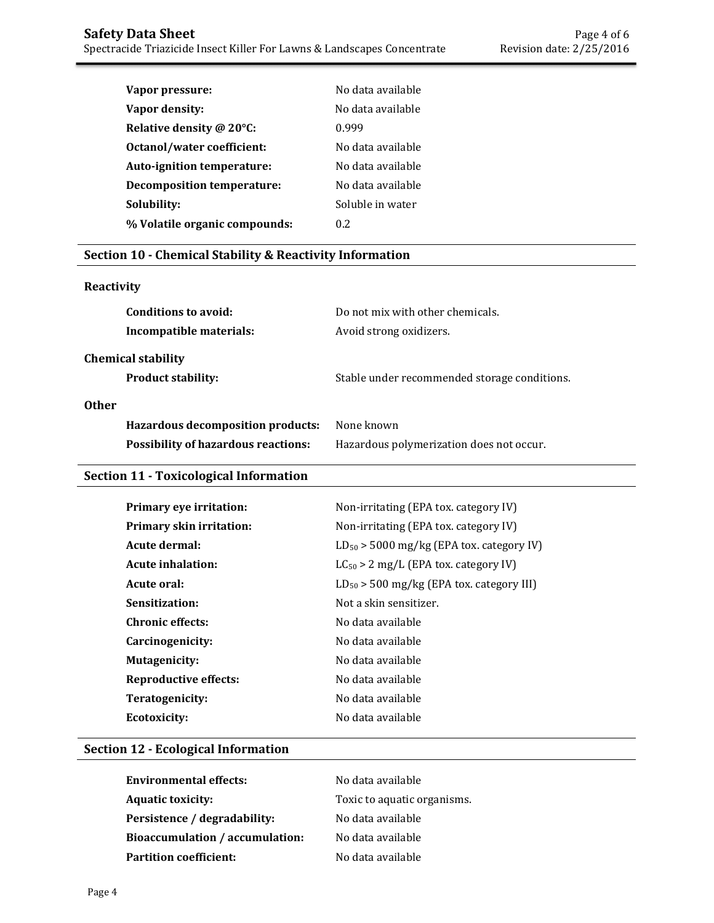| Vapor pressure:                   | No data available |
|-----------------------------------|-------------------|
| Vapor density:                    | No data available |
| Relative density @ 20°C:          | 0.999             |
| Octanol/water coefficient:        | No data available |
| Auto-ignition temperature:        | No data available |
| <b>Decomposition temperature:</b> | No data available |
| Solubility:                       | Soluble in water  |
| % Volatile organic compounds:     | 0.2               |
|                                   |                   |

## **Section 10 - Chemical Stability & Reactivity Information**

## **Reactivity**

| Conditions to avoid:<br>Incompatible materials:        | Do not mix with other chemicals.<br>Avoid strong oxidizers. |
|--------------------------------------------------------|-------------------------------------------------------------|
| <b>Chemical stability</b><br><b>Product stability:</b> | Stable under recommended storage conditions.                |
| <b>Other</b>                                           |                                                             |
| Hazardous decomposition products:                      | None known                                                  |
| <b>Possibility of hazardous reactions:</b>             | Hazardous polymerization does not occur.                    |

# **Section 11 - Toxicological Information**

| Primary eye irritation:         | Non-irritating (EPA tox. category IV)         |
|---------------------------------|-----------------------------------------------|
| <b>Primary skin irritation:</b> | Non-irritating (EPA tox. category IV)         |
| Acute dermal:                   | $LD_{50}$ > 5000 mg/kg (EPA tox. category IV) |
| <b>Acute inhalation:</b>        | $LC_{50} > 2$ mg/L (EPA tox. category IV)     |
| Acute oral:                     | $LD_{50}$ > 500 mg/kg (EPA tox. category III) |
| Sensitization:                  | Not a skin sensitizer.                        |
| <b>Chronic effects:</b>         | No data available                             |
| Carcinogenicity:                | No data available                             |
| Mutagenicity:                   | No data available                             |
| <b>Reproductive effects:</b>    | No data available                             |
| Teratogenicity:                 | No data available                             |
| <b>Ecotoxicity:</b>             | No data available                             |

# **Section 12 - Ecological Information**

| <b>Environmental effects:</b>          | No data available           |
|----------------------------------------|-----------------------------|
| <b>Aquatic toxicity:</b>               | Toxic to aquatic organisms. |
| Persistence / degradability:           | No data available           |
| <b>Bioaccumulation / accumulation:</b> | No data available           |
| Partition coefficient:                 | No data available           |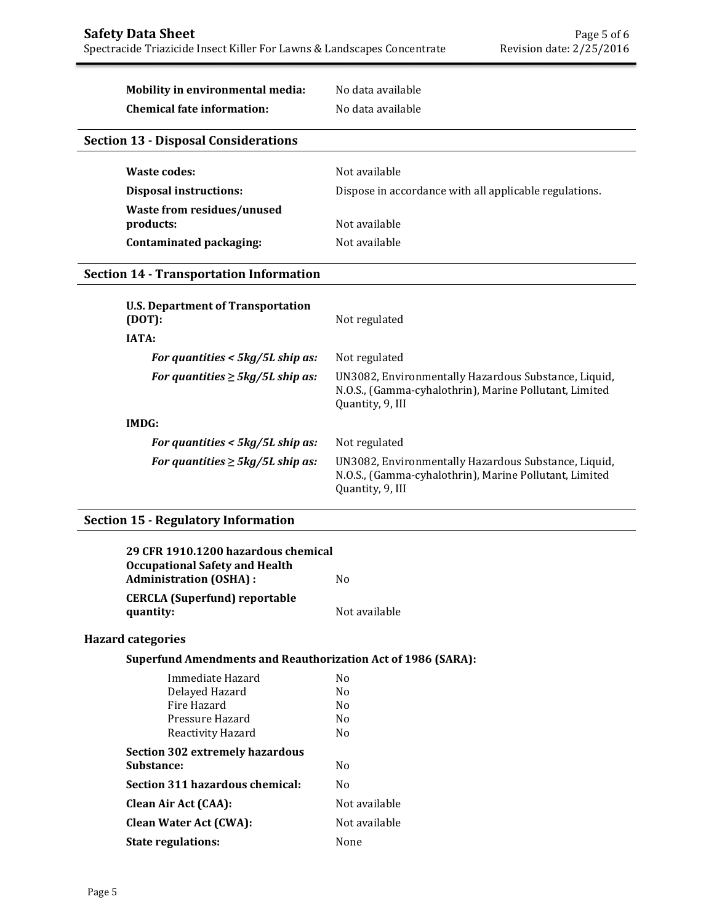# **Mobility in environmental media:** No data available

**Chemical fate information:** No data available

## **Section 13 - Disposal Considerations**

| Waste codes:                  | Not available                                          |
|-------------------------------|--------------------------------------------------------|
| <b>Disposal instructions:</b> | Dispose in accordance with all applicable regulations. |
| Waste from residues/unused    |                                                        |
| products:                     | Not available                                          |
| Contaminated packaging:       | Not available                                          |

### **Section 14 - Transportation Information**

| <b>U.S. Department of Transportation</b><br>(DOT): | Not regulated                                                                                                                      |
|----------------------------------------------------|------------------------------------------------------------------------------------------------------------------------------------|
| <b>IATA:</b>                                       |                                                                                                                                    |
| For quantities $<$ 5kg/5L ship as:                 | Not regulated                                                                                                                      |
| For quantities $\geq$ 5kg/5L ship as:              | UN3082, Environmentally Hazardous Substance, Liquid,<br>N.O.S., (Gamma-cyhalothrin), Marine Pollutant, Limited<br>Quantity, 9, III |
| IMDG:                                              |                                                                                                                                    |
| For quantities $< 5 \frac{kq}{5}$ L ship as:       | Not regulated                                                                                                                      |
| For quantities $\geq$ 5kg/5L ship as:              | UN3082, Environmentally Hazardous Substance, Liquid,<br>N.O.S., (Gamma-cyhalothrin), Marine Pollutant, Limited<br>Quantity, 9, III |
|                                                    |                                                                                                                                    |

## **Section 15 - Regulatory Information**

| 29 CFR 1910.1200 hazardous chemical<br><b>Occupational Safety and Health</b> |               |
|------------------------------------------------------------------------------|---------------|
| <b>Administration (OSHA):</b>                                                | No            |
| <b>CERCLA</b> (Superfund) reportable<br>quantity:                            | Not available |
| <b>Hazard categories</b>                                                     |               |

## **Superfund Amendments and Reauthorization Act of 1986 (SARA):**

| Immediate Hazard                | No             |
|---------------------------------|----------------|
| Delayed Hazard                  | N <sub>0</sub> |
| Fire Hazard                     | N <sub>0</sub> |
| Pressure Hazard                 | No             |
| Reactivity Hazard               | N <sub>0</sub> |
| Section 302 extremely hazardous |                |
| <b>Substance:</b>               | No             |
| Section 311 hazardous chemical: | No             |
| <b>Clean Air Act (CAA):</b>     | Not available  |
| <b>Clean Water Act (CWA):</b>   | Not available  |
| <b>State regulations:</b>       | None           |